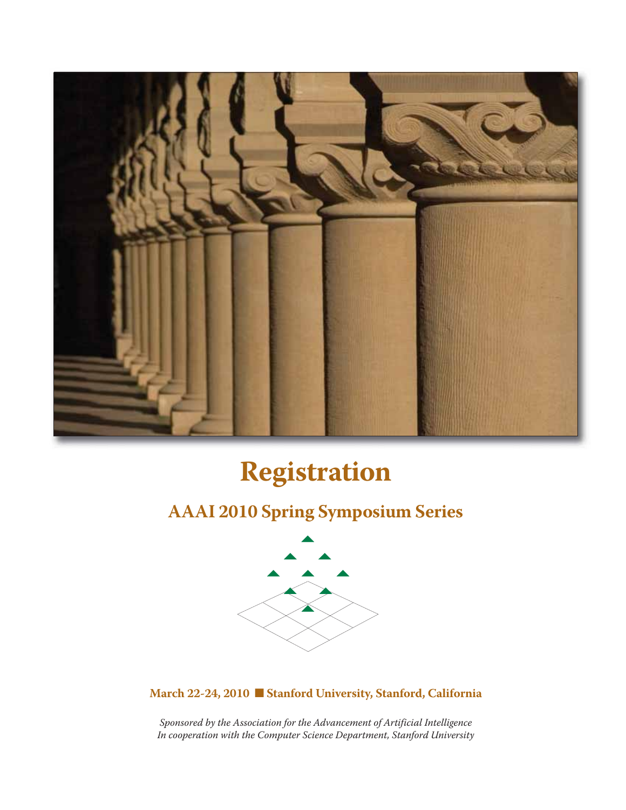

# **Registration**

## **AAAI 2010 Spring Symposium Series**



**March 22-24, 2010 Stanford University, Stanford, California** 

*Sponsored by the Association for the Advancement of Artificial Intelligence In cooperation with the Computer Science Department, Stanford University*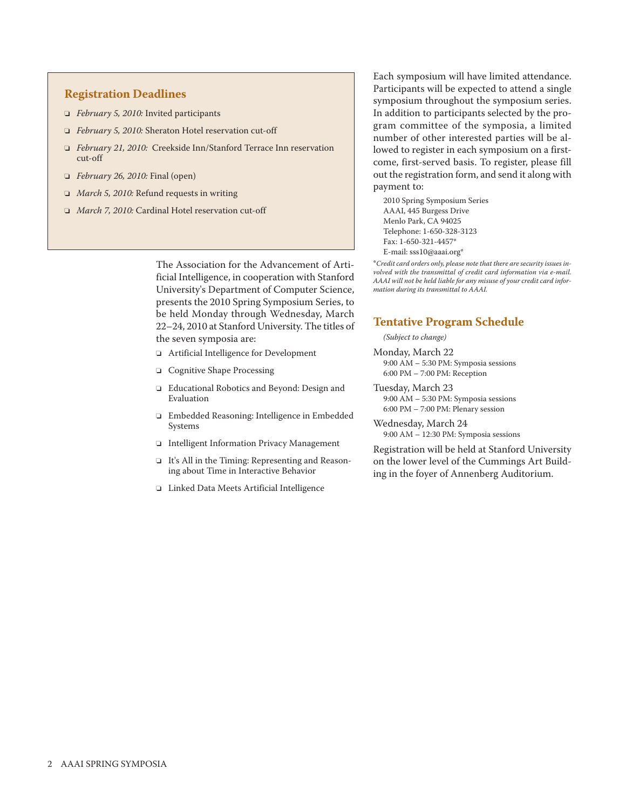#### **Registration Deadlines**

- o *February 5, 2010:* Invited participants
- o *February 5, 2010:* Sheraton Hotel reservation cut-off
- o *February 21, 2010:* Creekside Inn/Stanford Terrace Inn reservation cut-off
- o *February 26, 2010:* Final (open)
- □ *March 5, 2010:* Refund requests in writing
- o *March 7, 2010:* Cardinal Hotel reservation cut-off

The Association for the Advancement of Artificial Intelligence, in cooperation with Stanford University's Department of Computer Science, presents the 2010 Spring Symposium Series, to be held Monday through Wednesday, March 22–24, 2010 at Stanford University. The titles of the seven symposia are:

- o Artificial Intelligence for Development
- o Cognitive Shape Processing
- o Educational Robotics and Beyond: Design and Evaluation
- o Embedded Reasoning: Intelligence in Embedded Systems
- o Intelligent Information Privacy Management
- o It's All in the Timing: Representing and Reasoning about Time in Interactive Behavior
- o Linked Data Meets Artificial Intelligence

Each symposium will have limited attendance. Participants will be expected to attend a single symposium throughout the symposium series. In addition to participants selected by the program committee of the symposia, a limited number of other interested parties will be allowed to register in each symposium on a firstcome, first-served basis. To register, please fill out the registration form, and send it along with payment to:

2010 Spring Symposium Series AAAI, 445 Burgess Drive Menlo Park, CA 94025 Telephone: 1-650-328-3123 Fax: 1-650-321-4457\* E-mail: sss10@aaai.org\*

\**Credit card orders only, please note that there are security issues involved with the transmittal of credit card information via e-mail. AAAI will not be held liable for any misuse of your credit card information during its transmittal to AAAI.*

#### **Tentative Program Schedule**

*(Subject to change)*

- Monday, March 22 9:00 AM – 5:30 PM: Symposia sessions 6:00 PM – 7:00 PM: Reception
- Tuesday, March 23 9:00 AM – 5:30 PM: Symposia sessions 6:00 PM – 7:00 PM: Plenary session
- Wednesday, March 24 9:00 AM – 12:30 PM: Symposia sessions

Registration will be held at Stanford University on the lower level of the Cummings Art Building in the foyer of Annenberg Auditorium.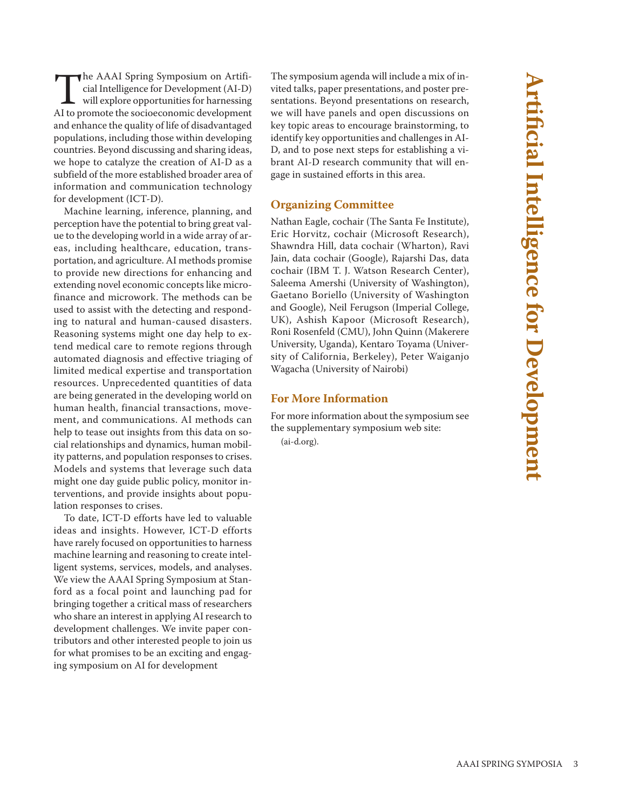**Artificial Intelligence for Development Artificial Intelligence for Developmen** 

The AAAI Spring Symposium on Artificial Intelligence for Development (AI-D)<br>will explore opportunities for harnessing<br>AI to promote the socioeconomic development cial Intelligence for Development (AI-D) will explore opportunities for harnessing AI to promote the socioeconomic development and enhance the quality of life of disadvantaged populations, including those within developing countries. Beyond discussing and sharing ideas, we hope to catalyze the creation of AI-D as a subfield of the more established broader area of information and communication technology for development (ICT-D).

Machine learning, inference, planning, and perception have the potential to bring great value to the developing world in a wide array of areas, including healthcare, education, transportation, and agriculture. AI methods promise to provide new directions for enhancing and extending novel economic concepts like microfinance and microwork. The methods can be used to assist with the detecting and responding to natural and human-caused disasters. Reasoning systems might one day help to extend medical care to remote regions through automated diagnosis and effective triaging of limited medical expertise and transportation resources. Unprecedented quantities of data are being generated in the developing world on human health, financial transactions, movement, and communications. AI methods can help to tease out insights from this data on social relationships and dynamics, human mobility patterns, and population responses to crises. Models and systems that leverage such data might one day guide public policy, monitor interventions, and provide insights about population responses to crises.

To date, ICT-D efforts have led to valuable ideas and insights. However, ICT-D efforts have rarely focused on opportunities to harness machine learning and reasoning to create intelligent systems, services, models, and analyses. We view the AAAI Spring Symposium at Stanford as a focal point and launching pad for bringing together a critical mass of researchers who share an interest in applying AI research to development challenges. We invite paper contributors and other interested people to join us for what promises to be an exciting and engaging symposium on AI for development

The symposium agenda will include a mix of invited talks, paper presentations, and poster presentations. Beyond presentations on research, we will have panels and open discussions on key topic areas to encourage brainstorming, to identify key opportunities and challenges in AI-D, and to pose next steps for establishing a vibrant AI-D research community that will engage in sustained efforts in this area.

### **Organizing Committee**

Nathan Eagle, cochair (The Santa Fe Institute), Eric Horvitz, cochair (Microsoft Research), Shawndra Hill, data cochair (Wharton), Ravi Jain, data cochair (Google), Rajarshi Das, data cochair (IBM T. J. Watson Research Center), Saleema Amershi (University of Washington), Gaetano Boriello (University of Washington and Google), Neil Ferugson (Imperial College, UK), Ashish Kapoor (Microsoft Research), Roni Rosenfeld (CMU), John Quinn (Makerere University, Uganda), Kentaro Toyama (University of California, Berkeley), Peter Waiganjo Wagacha (University of Nairobi)

### **For More Information**

For more information about the symposium see the supplementary symposium web site: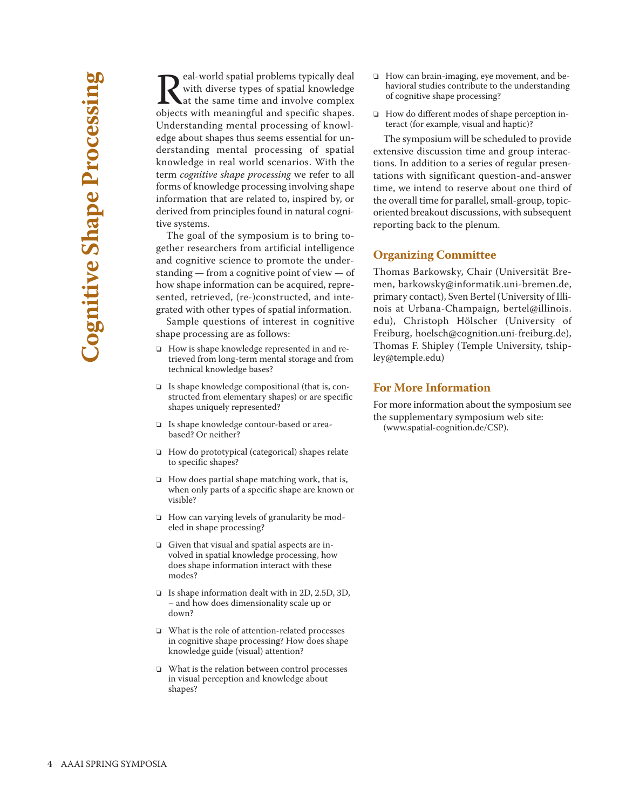Real-world spatial problems typically deal<br>with diverse types of spatial knowledge<br>objects with meaningful and specific shapes with diverse types of spatial knowledge at the same time and involve complex objects with meaningful and specific shapes. Understanding mental processing of knowledge about shapes thus seems essential for understanding mental processing of spatial knowledge in real world scenarios. With the term *cognitive shape processing* we refer to all forms of knowledge processing involving shape information that are related to, inspired by, or derived from principles found in natural cognitive systems.

The goal of the symposium is to bring together researchers from artificial intelligence and cognitive science to promote the understanding — from a cognitive point of view — of how shape information can be acquired, represented, retrieved, (re-)constructed, and integrated with other types of spatial information.

Sample questions of interest in cognitive shape processing are as follows:

- □ How is shape knowledge represented in and retrieved from long-term mental storage and from technical knowledge bases?
- $\Box$  Is shape knowledge compositional (that is, constructed from elementary shapes) or are specific shapes uniquely represented?
- □ Is shape knowledge contour-based or areabased? Or neither?
- $\Box$  How do prototypical (categorical) shapes relate to specific shapes?
- $\Box$  How does partial shape matching work, that is, when only parts of a specific shape are known or visible?
- $\Box$  How can varying levels of granularity be modeled in shape processing?
- Given that visual and spatial aspects are involved in spatial knowledge processing, how does shape information interact with these modes?
- □ Is shape information dealt with in 2D, 2.5D, 3D, – and how does dimensionality scale up or down?
- $\Box$  What is the role of attention-related processes in cognitive shape processing? How does shape knowledge guide (visual) attention?
- $\Box$  What is the relation between control processes in visual perception and knowledge about shapes?
- $\Box$  How can brain-imaging, eye movement, and behavioral studies contribute to the understanding of cognitive shape processing?
- $\Box$  How do different modes of shape perception interact (for example, visual and haptic)?

The symposium will be scheduled to provide extensive discussion time and group interactions. In addition to a series of regular presentations with significant question-and-answer time, we intend to reserve about one third of the overall time for parallel, small-group, topicoriented breakout discussions, with subsequent reporting back to the plenum.

### **Organizing Committee**

Thomas Barkowsky, Chair (Universität Bremen, barkowsky@informatik.uni-bremen.de, primary contact), Sven Bertel (University of Illinois at Urbana-Champaign, bertel@illinois. edu), Christoph Hölscher (University of Freiburg, hoelsch@cognition.uni-freiburg.de), Thomas F. Shipley (Temple University, tshipley@temple.edu)

### **For More Information**

For more information about the symposium see the supplementary symposium web site: (www.spatial-cognition.de/CSP).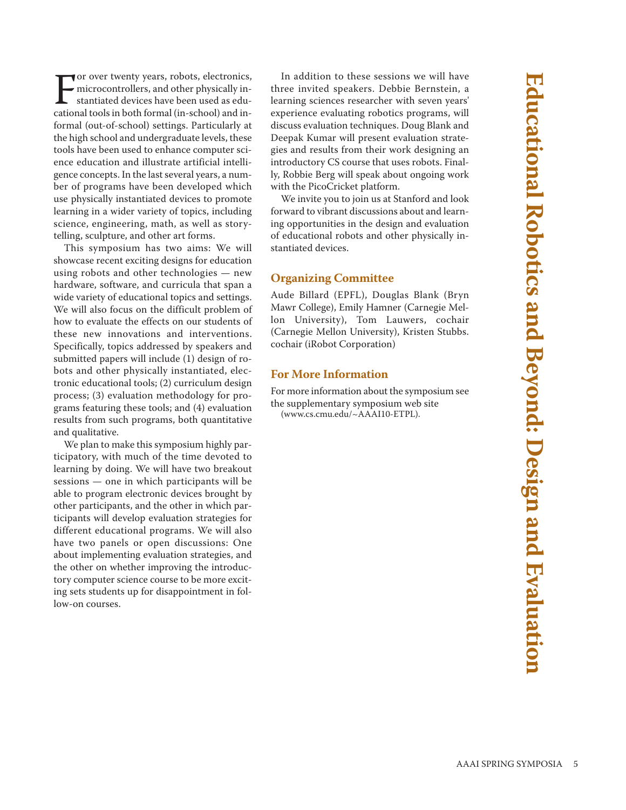**Educational Robotics and Beyond: Design and Evaluation** Educational Robotics and Beyond: Design and Evaluation

For over twenty years, robots, electronics,<br>microcontrollers, and other physically in-<br>stantiated devices have been used as edu-<br>cational tools in both formal (in-school) and inor over twenty years, robots, electronics, microcontrollers, and other physically instantiated devices have been used as eduformal (out-of-school) settings. Particularly at the high school and undergraduate levels, these tools have been used to enhance computer science education and illustrate artificial intelligence concepts. In the last several years, a number of programs have been developed which use physically instantiated devices to promote learning in a wider variety of topics, including science, engineering, math, as well as storytelling, sculpture, and other art forms.

This symposium has two aims: We will showcase recent exciting designs for education using robots and other technologies — new hardware, software, and curricula that span a wide variety of educational topics and settings. We will also focus on the difficult problem of how to evaluate the effects on our students of these new innovations and interventions. Specifically, topics addressed by speakers and submitted papers will include (1) design of robots and other physically instantiated, electronic educational tools; (2) curriculum design process; (3) evaluation methodology for programs featuring these tools; and (4) evaluation results from such programs, both quantitative and qualitative.

We plan to make this symposium highly participatory, with much of the time devoted to learning by doing. We will have two breakout sessions — one in which participants will be able to program electronic devices brought by other participants, and the other in which participants will develop evaluation strategies for different educational programs. We will also have two panels or open discussions: One about implementing evaluation strategies, and the other on whether improving the introductory computer science course to be more exciting sets students up for disappointment in follow-on courses.

In addition to these sessions we will have three invited speakers. Debbie Bernstein, a learning sciences researcher with seven years' experience evaluating robotics programs, will discuss evaluation techniques. Doug Blank and Deepak Kumar will present evaluation strategies and results from their work designing an introductory CS course that uses robots. Finally, Robbie Berg will speak about ongoing work with the PicoCricket platform.

We invite you to join us at Stanford and look forward to vibrant discussions about and learning opportunities in the design and evaluation of educational robots and other physically instantiated devices.

### **Organizing Committee**

Aude Billard (EPFL), Douglas Blank (Bryn Mawr College), Emily Hamner (Carnegie Mellon University), Tom Lauwers, cochair (Carnegie Mellon University), Kristen Stubbs. cochair (iRobot Corporation)

### **For More Information**

For more information about the symposium see the supplementary symposium web site (www.cs.cmu.edu/~AAAI10-ETPL).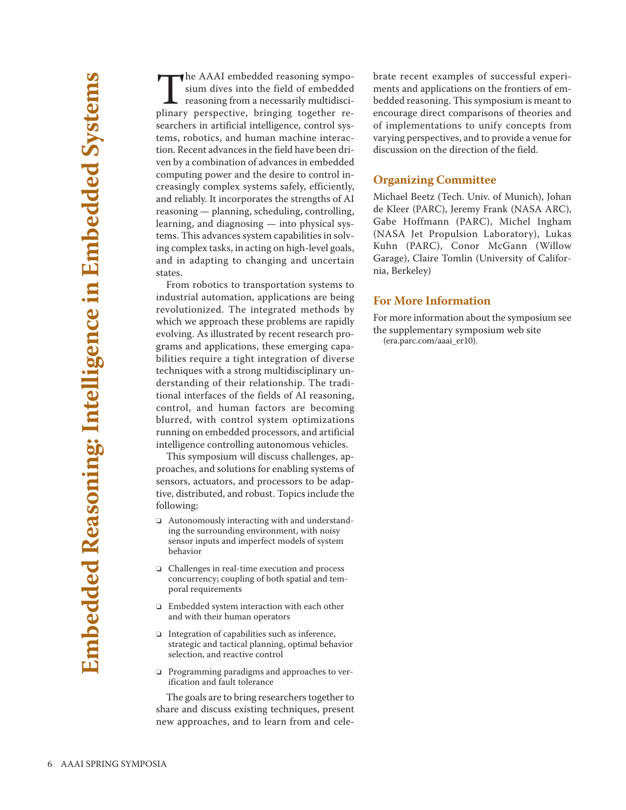The AAAI embedded reasoning sympo-<br>sium dives into the field of embedded<br>reasoning from a necessarily multidisci-<br>plinary perspective bringing together resium dives into the field of embedded reasoning from a necessarily multidisciplinary perspective, bringing together researchers in artificial intelligence, control systems, robotics, and human machine interaction. Recent advances in the field have been driven by a combination of advances in embedded computing power and the desire to control increasingly complex systems safely, efficiently, and reliably. It incorporates the strengths of AI reasoning — planning, scheduling, controlling, learning, and diagnosing — into physical systems. This advances system capabilities in solving complex tasks, in acting on high-level goals, and in adapting to changing and uncertain states.

From robotics to transportation systems to industrial automation, applications are being revolutionized. The integrated methods by which we approach these problems are rapidly evolving. As illustrated by recent research programs and applications, these emerging capabilities require a tight integration of diverse techniques with a strong multidisciplinary understanding of their relationship. The traditional interfaces of the fields of AI reasoning, control, and human factors are becoming blurred, with control system optimizations running on embedded processors, and artificial intelligence controlling autonomous vehicles.

This symposium will discuss challenges, approaches, and solutions for enabling systems of sensors, actuators, and processors to be adaptive, distributed, and robust. Topics include the following:

- $\Box$  Autonomously interacting with and understanding the surrounding environment, with noisy sensor inputs and imperfect models of system behavior
- o Challenges in real-time execution and process concurrency; coupling of both spatial and temporal requirements
- $\Box$  Embedded system interaction with each other and with their human operators
- $\Box$  Integration of capabilities such as inference, strategic and tactical planning, optimal behavior selection, and reactive control
- $\Box$  Programming paradigms and approaches to verification and fault tolerance

The goals are to bring researchers together to share and discuss existing techniques, present new approaches, and to learn from and celebrate recent examples of successful experiments and applications on the frontiers of embedded reasoning. This symposium is meant to encourage direct comparisons of theories and of implementations to unify concepts from varying perspectives, and to provide a venue for discussion on the direction of the field.

### **Organizing Committee**

Michael Beetz (Tech. Univ. of Munich), Johan de Kleer (PARC), Jeremy Frank (NASA ARC), Gabe Hoffmann (PARC), Michel Ingham (NASA Jet Propulsion Laboratory), Lukas Kuhn (PARC), Conor McGann (Willow Garage), Claire Tomlin (University of California, Berkeley)

#### **For More Information**

For more information about the symposium see the supplementary symposium web site (era.parc.com/aaai\_er10).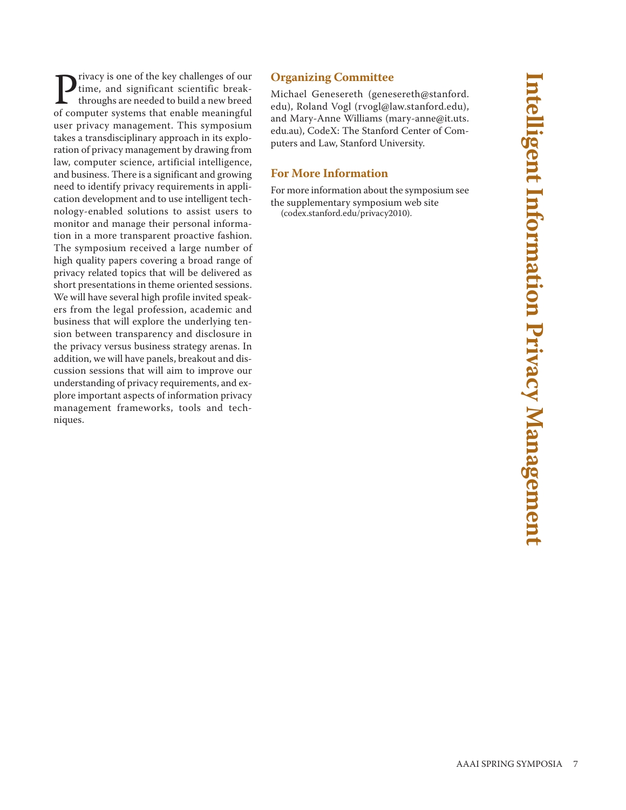**P**rivacy is one of the key challenges of our<br>time, and significant scientific break-<br>throughs are needed to build a new breed<br>of computer systems that enable meaningful time, and significant scientific breakthroughs are needed to build a new breed of computer systems that enable meaningful user privacy management. This symposium takes a transdisciplinary approach in its exploration of privacy management by drawing from law, computer science, artificial intelligence, and business. There is a significant and growing need to identify privacy requirements in application development and to use intelligent technology-enabled solutions to assist users to monitor and manage their personal information in a more transparent proactive fashion. The symposium received a large number of high quality papers covering a broad range of privacy related topics that will be delivered as short presentations in theme oriented sessions. We will have several high profile invited speakers from the legal profession, academic and business that will explore the underlying tension between transparency and disclosure in the privacy versus business strategy arenas. In addition, we will have panels, breakout and discussion sessions that will aim to improve our understanding of privacy requirements, and explore important aspects of information privacy management frameworks, tools and techniques.

### **Organizing Committee**

Michael Genesereth (genesereth@stanford. edu), Roland Vogl (rvogl@law.stanford.edu), and Mary-Anne Williams (mary-anne@it.uts. edu.au), CodeX: The Stanford Center of Computers and Law, Stanford University.

### **For More Information**

For more information about the symposium see the supplementary symposium web site (codex.stanford.edu/privacy2010).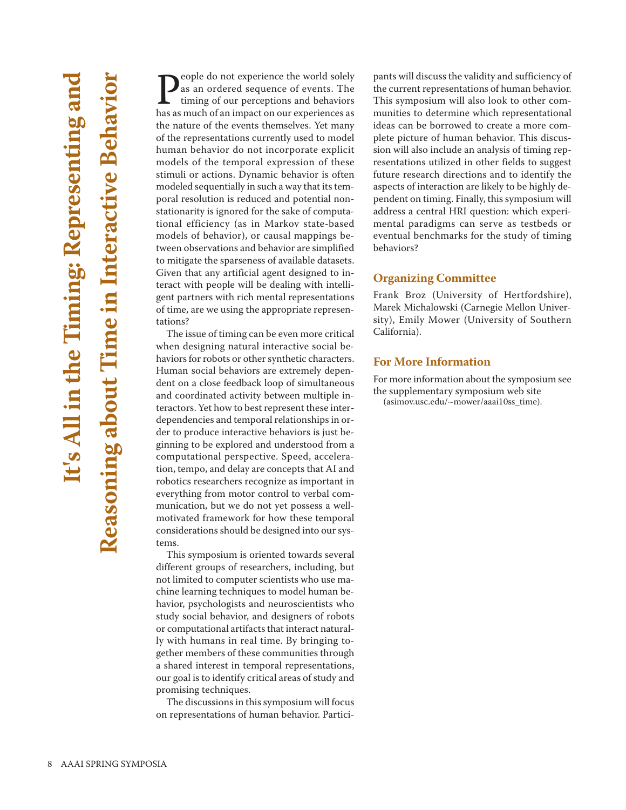**P**eople do not experience the world solely<br>as an ordered sequence of events. The<br>timing of our perceptions and behaviors<br>has as much of an impact on our experiences as as an ordered sequence of events. The timing of our perceptions and behaviors has as much of an impact on our experiences as the nature of the events themselves. Yet many of the representations currently used to model human behavior do not incorporate explicit models of the temporal expression of these stimuli or actions. Dynamic behavior is often modeled sequentially in such a way that its temporal resolution is reduced and potential nonstationarity is ignored for the sake of computational efficiency (as in Markov state-based models of behavior), or causal mappings between observations and behavior are simplified to mitigate the sparseness of available datasets. Given that any artificial agent designed to interact with people will be dealing with intelligent partners with rich mental representations of time, are we using the appropriate representations?

The issue of timing can be even more critical when designing natural interactive social behaviors for robots or other synthetic characters. Human social behaviors are extremely dependent on a close feedback loop of simultaneous and coordinated activity between multiple interactors. Yet how to best represent these interdependencies and temporal relationships in order to produce interactive behaviors is just beginning to be explored and understood from a computational perspective. Speed, acceleration, tempo, and delay are concepts that AI and robotics researchers recognize as important in everything from motor control to verbal communication, but we do not yet possess a wellmotivated framework for how these temporal considerations should be designed into our systems.

This symposium is oriented towards several different groups of researchers, including, but not limited to computer scientists who use machine learning techniques to model human behavior, psychologists and neuroscientists who study social behavior, and designers of robots or computational artifacts that interact naturally with humans in real time. By bringing together members of these communities through a shared interest in temporal representations, our goal is to identify critical areas of study and promising techniques.

The discussions in this symposium will focus on representations of human behavior. Participants will discuss the validity and sufficiency of the current representations of human behavior. This symposium will also look to other communities to determine which representational ideas can be borrowed to create a more complete picture of human behavior. This discussion will also include an analysis of timing representations utilized in other fields to suggest future research directions and to identify the aspects of interaction are likely to be highly dependent on timing. Finally, this symposium will address a central HRI question: which experimental paradigms can serve as testbeds or eventual benchmarks for the study of timing behaviors?

### **Organizing Committee**

Frank Broz (University of Hertfordshire), Marek Michalowski (Carnegie Mellon University), Emily Mower (University of Southern California).

### **For More Information**

For more information about the symposium see the supplementary symposium web site (asimov.usc.edu/~mower/aaai10ss\_time).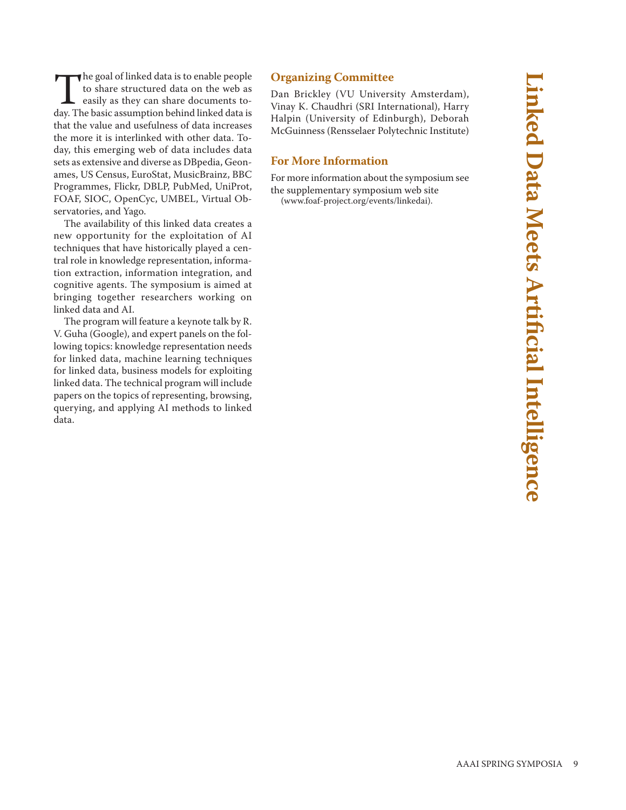The goal of linked data is to enable people<br>to share structured data on the web as<br>easily as they can share documents to-<br>day The basic assumption behind linked data is to share structured data on the web as easily as they can share documents today. The basic assumption behind linked data is that the value and usefulness of data increases the more it is interlinked with other data. Today, this emerging web of data includes data sets as extensive and diverse as DBpedia, Geonames, US Census, EuroStat, MusicBrainz, BBC Programmes, Flickr, DBLP, PubMed, UniProt, FOAF, SIOC, OpenCyc, UMBEL, Virtual Observatories, and Yago.

The availability of this linked data creates a new opportunity for the exploitation of AI techniques that have historically played a central role in knowledge representation, information extraction, information integration, and cognitive agents. The symposium is aimed at bringing together researchers working on linked data and AI.

The program will feature a keynote talk by R. V. Guha (Google), and expert panels on the following topics: knowledge representation needs for linked data, machine learning techniques for linked data, business models for exploiting linked data. The technical program will include papers on the topics of representing, browsing, querying, and applying AI methods to linked data.

### **Organizing Committee**

Dan Brickley (VU University Amsterdam), Vinay K. Chaudhri (SRI International), Harry Halpin (University of Edinburgh), Deborah McGuinness (Rensselaer Polytechnic Institute)

#### **For More Information**

For more information about the symposium see the supplementary symposium web site

(www.foaf-project.org/events/linkedai).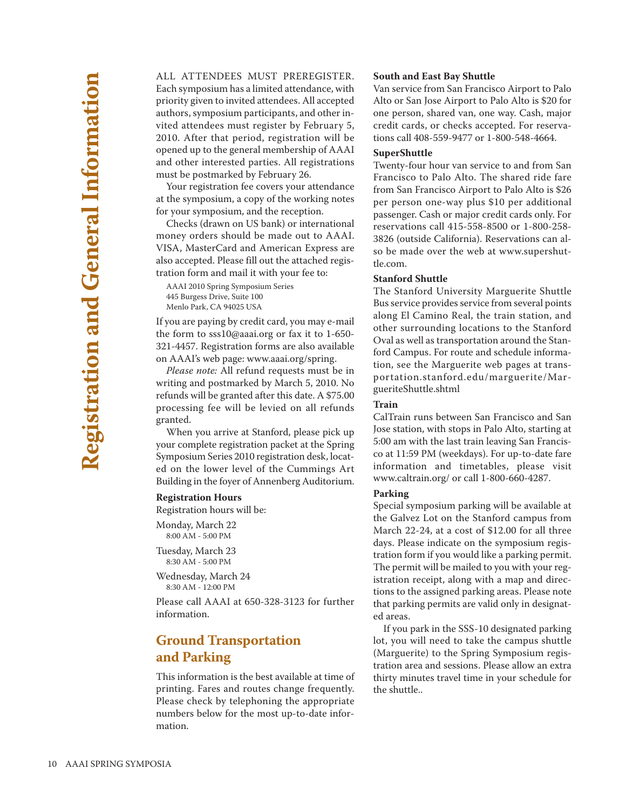ALL ATTENDEES MUST PREREGISTER. Each symposium has a limited attendance, with priority given to invited attendees. All accepted authors, symposium participants, and other invited attendees must register by February 5, 2010. After that period, registration will be opened up to the general membership of AAAI and other interested parties. All registrations must be postmarked by February 26.

Your registration fee covers your attendance at the symposium, a copy of the working notes for your symposium, and the reception.

Checks (drawn on US bank) or international money orders should be made out to AAAI. VISA, MasterCard and American Express are also accepted. Please fill out the attached registration form and mail it with your fee to:

AAAI 2010 Spring Symposium Series 445 Burgess Drive, Suite 100 Menlo Park, CA 94025 USA

If you are paying by credit card, you may e-mail the form to sss10@aaai.org or fax it to 1-650- 321-4457. Registration forms are also available on AAAI's web page: www.aaai.org/spring.

*Please note:* All refund requests must be in writing and postmarked by March 5, 2010. No refunds will be granted after this date. A \$75.00 processing fee will be levied on all refunds granted.

When you arrive at Stanford, please pick up your complete registration packet at the Spring Symposium Series 2010 registration desk, located on the lower level of the Cummings Art Building in the foyer of Annenberg Auditorium.

#### **Registration Hours**

Registration hours will be:

Monday, March 22 8:00 AM - 5:00 PM

Tuesday, March 23 8:30 AM - 5:00 PM

Wednesday, March 24 8:30 AM - 12:00 PM

Please call AAAI at 650-328-3123 for further information.

### **Ground Transportation and Parking**

This information is the best available at time of printing. Fares and routes change frequently. Please check by telephoning the appropriate numbers below for the most up-to-date information.

#### **South and East Bay Shuttle**

Van service from San Francisco Airport to Palo Alto or San Jose Airport to Palo Alto is \$20 for one person, shared van, one way. Cash, major credit cards, or checks accepted. For reservations call 408-559-9477 or 1-800-548-4664.

#### **SuperShuttle**

Twenty-four hour van service to and from San Francisco to Palo Alto. The shared ride fare from San Francisco Airport to Palo Alto is \$26 per person one-way plus \$10 per additional passenger. Cash or major credit cards only. For reservations call 415-558-8500 or 1-800-258- 3826 (outside California). Reservations can also be made over the web at www.supershuttle.com.

#### **Stanford Shuttle**

The Stanford University Marguerite Shuttle Bus service provides service from several points along El Camino Real, the train station, and other surrounding locations to the Stanford Oval as well as transportation around the Stanford Campus. For route and schedule information, see the Marguerite web pages at transportation.stanford.edu/marguerite/MargueriteShuttle.shtml

#### **Train**

CalTrain runs between San Francisco and San Jose station, with stops in Palo Alto, starting at 5:00 am with the last train leaving San Francisco at 11:59 PM (weekdays). For up-to-date fare information and timetables, please visit www.caltrain.org/ or call 1-800-660-4287.

#### **Parking**

Special symposium parking will be available at the Galvez Lot on the Stanford campus from March 22-24, at a cost of \$12.00 for all three days. Please indicate on the symposium registration form if you would like a parking permit. The permit will be mailed to you with your registration receipt, along with a map and directions to the assigned parking areas. Please note that parking permits are valid only in designated areas.

If you park in the SSS-10 designated parking lot, you will need to take the campus shuttle (Marguerite) to the Spring Symposium registration area and sessions. Please allow an extra thirty minutes travel time in your schedule for the shuttle..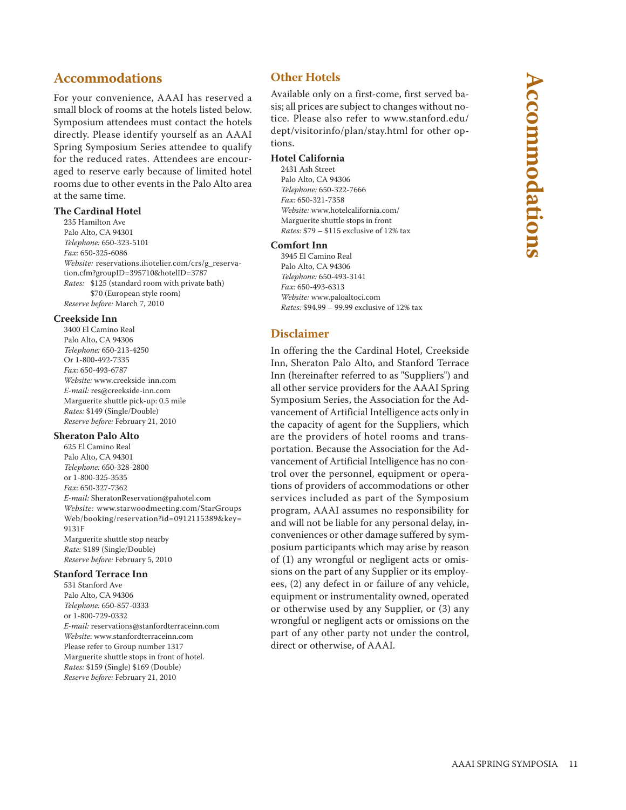### **Accommodations**

For your convenience, AAAI has reserved a small block of rooms at the hotels listed below. Symposium attendees must contact the hotels directly. Please identify yourself as an AAAI Spring Symposium Series attendee to qualify for the reduced rates. Attendees are encouraged to reserve early because of limited hotel rooms due to other events in the Palo Alto area at the same time.

#### **The Cardinal Hotel**

235 Hamilton Ave Palo Alto, CA 94301 *Telephone:* 650-323-5101 *Fax:* 650-325-6086 *Website:* reservations.ihotelier.com/crs/g\_reservation.cfm?groupID=395710&hotelID=3787 *Rates:* \$125 (standard room with private bath) \$70 (European style room) *Reserve before:* March 7, 2010

#### **Creekside Inn**

3400 El Camino Real Palo Alto, CA 94306 *Telephone:* 650-213-4250 Or 1-800-492-7335 *Fax:* 650-493-6787 *Website:* www.creekside-inn.com *E-mail:* res@creekside-inn.com Marguerite shuttle pick-up: 0.5 mile *Rates:* \$149 (Single/Double) *Reserve before:* February 21, 2010

#### **Sheraton Palo Alto**

625 El Camino Real Palo Alto, CA 94301 *Telephone:* 650-328-2800 or 1-800-325-3535 *Fax:* 650-327-7362 *E-mail:* SheratonReservation@pahotel.com *Website:* www.starwoodmeeting.com/StarGroups Web/booking/reservation?id=0912115389&key= 9131F Marguerite shuttle stop nearby *Rate:* \$189 (Single/Double) *Reserve before:* February 5, 2010

#### **Stanford Terrace Inn**

531 Stanford Ave Palo Alto, CA 94306 *Telephone:* 650-857-0333 or 1-800-729-0332 *E-mail:* reservations@stanfordterraceinn.com *Website*: www.stanfordterraceinn.com Please refer to Group number 1317 Marguerite shuttle stops in front of hotel. *Rates:* \$159 (Single) \$169 (Double) *Reserve before:* February 21, 2010

### **Other Hotels**

Available only on a first-come, first served basis; all prices are subject to changes without notice. Please also refer to www.stanford.edu/ dept/visitorinfo/plan/stay.html for other options.

#### **Hotel California**

2431 Ash Street Palo Alto, CA 94306 *Telephone:* 650-322-7666 *Fax:* 650-321-7358 *Website:* www.hotelcalifornia.com/ Marguerite shuttle stops in front *Rates:* \$79 – \$115 exclusive of 12% tax

#### **Comfort Inn**

3945 El Camino Real Palo Alto, CA 94306 *Telephone:* 650-493-3141 *Fax:* 650-493-6313 *Website:* www.paloaltoci.com *Rates:* \$94.99 – 99.99 exclusive of 12% tax

### **Disclaimer**

In offering the the Cardinal Hotel, Creekside Inn, Sheraton Palo Alto, and Stanford Terrace Inn (hereinafter referred to as "Suppliers") and all other service providers for the AAAI Spring Symposium Series, the Association for the Advancement of Artificial Intelligence acts only in the capacity of agent for the Suppliers, which are the providers of hotel rooms and transportation. Because the Association for the Advancement of Artificial Intelligence has no control over the personnel, equipment or operations of providers of accommodations or other services included as part of the Symposium program, AAAI assumes no responsibility for and will not be liable for any personal delay, inconveniences or other damage suffered by symposium participants which may arise by reason of (1) any wrongful or negligent acts or omissions on the part of any Supplier or its employees, (2) any defect in or failure of any vehicle, equipment or instrumentality owned, operated or otherwise used by any Supplier, or (3) any wrongful or negligent acts or omissions on the part of any other party not under the control, direct or otherwise, of AAAI.